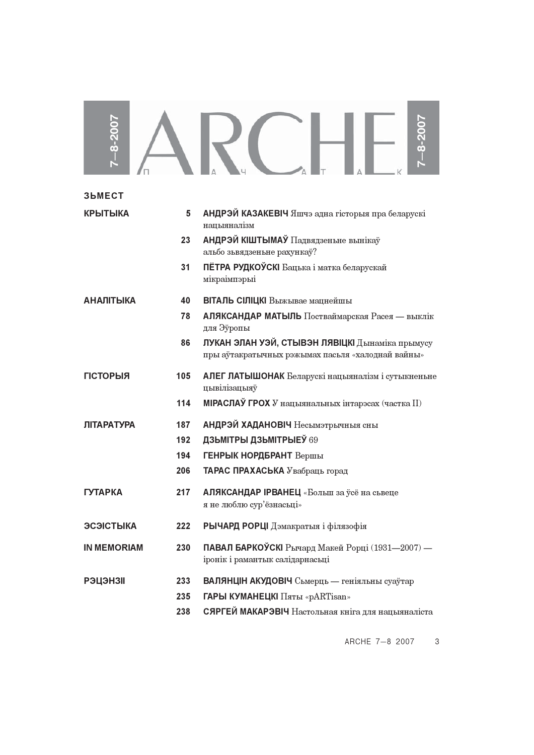| $-8-2007$          |                   | $-8 - 200$                                                                                                                            |
|--------------------|-------------------|---------------------------------------------------------------------------------------------------------------------------------------|
| <b>3bMECT</b>      |                   |                                                                                                                                       |
| <b>КРЫТЫКА</b>     | 5                 | АНДРЭЙ КАЗАКЕВІЧ Яшчэ адна гісторыя пра беларускі<br>нацыяналізм                                                                      |
|                    | 23                | АНДРЭЙ КІШТЫМАЎ Падвядзеньне вынікаў<br>альбо зьвядзеньне рахункаў?                                                                   |
|                    | 31                | ПЁТРА РУДКОЎСКІ Бацька і матка беларускай<br>мікраімпэрыі                                                                             |
| <b>АНАЛІТЫКА</b>   | 40                | ВІТАЛЬ СІЛІЦКІ Выжывае мацнейшы                                                                                                       |
|                    | 78                | АЛЯКСАНДАР МАТЫЛЬ Постваймарская Расея — выклік<br>для Эўропы                                                                         |
|                    | 86                | ЛУКАН ЭЛАН УЭЙ, СТЫВЭН ЛЯВІЦКІ Дынаміка прымусу<br>пры аўтакратычных рэжымах пасыля «халоднай вайны»                                  |
| <b>ГІСТОРЫЯ</b>    | 105               | АЛЕГ ЛАТЫШОНАК Беларускі нацыяналізм і сутыкненьне<br>цывілізацыяў                                                                    |
|                    | 114               | <b>МІРАСЛАЎ ГРОХ</b> У нацыянальных інтарэсах (частка II)                                                                             |
| <b>ЛІТАРАТУРА</b>  | 187               | <b>АНДРЭЙ ХАДАНОВІЧ</b> Несымэтрычныя сны                                                                                             |
|                    | 192               | ДЗЬМІТРЫ ДЗЬМІТРЫЕЎ 69                                                                                                                |
|                    | 194               | ГЕНРЫК НОРДБРАНТ Вершы                                                                                                                |
|                    | 206               | <b>ТАРАС ПРАХАСЬКА</b> Увабраць горад                                                                                                 |
| <b>ГУТАРКА</b>     | 217               | АЛЯКСАНДАР IPBAHEЦ «Больш за ўсё на сьвеце<br>я не люблю сур'ёзнасьці»                                                                |
| ЭСЭІСТЫКА          | 222               | РЫЧАРД РОРЦІ Дэмакратыя і філязофія                                                                                                   |
| <b>IN MEMORIAM</b> | 230               | ПАВАЛ БАРКОЎСКІ Рычард Макей Рорці (1931—2007) —<br>іронік і рамантык салідарнасьці                                                   |
| <b>РЭЦЭНЗІІ</b>    | 233<br>235<br>238 | ВАЛЯНЦІН АКУДОВІЧ Сьмерць — геніяльны суаўтар<br>ГАРЫ КУМАНЕЦКІ Пяты «pARTisan»<br>СЯРГЕЙ МАКАРЭВІЧ Настольная кніга для нацыяналіста |

ARCHE 7-8 2007 3